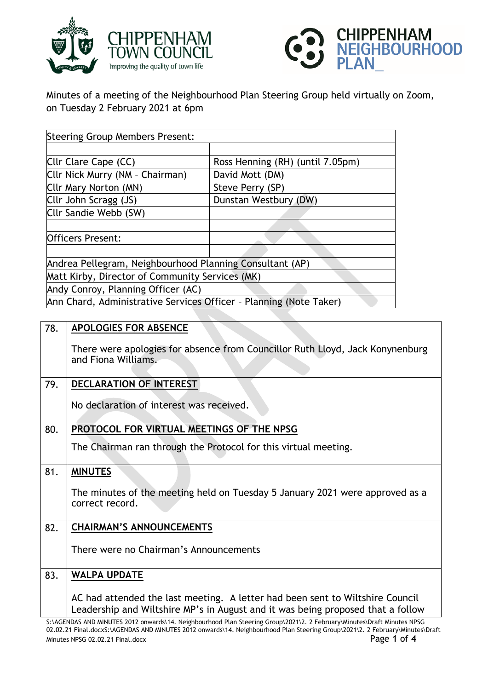



Minutes of a meeting of the Neighbourhood Plan Steering Group held virtually on Zoom, on Tuesday 2 February 2021 at 6pm

| <b>Steering Group Members Present:</b>                             |                                  |  |
|--------------------------------------------------------------------|----------------------------------|--|
|                                                                    |                                  |  |
| Cllr Clare Cape (CC)                                               | Ross Henning (RH) (until 7.05pm) |  |
| Cllr Nick Murry (NM - Chairman)                                    | David Mott (DM)                  |  |
| Cllr Mary Norton (MN)                                              | Steve Perry (SP)                 |  |
| Cllr John Scragg (JS)                                              | Dunstan Westbury (DW)            |  |
| Cllr Sandie Webb (SW)                                              |                                  |  |
|                                                                    |                                  |  |
| <b>Officers Present:</b>                                           |                                  |  |
|                                                                    |                                  |  |
| Andrea Pellegram, Neighbourhood Planning Consultant (AP)           |                                  |  |
| Matt Kirby, Director of Community Services (MK)                    |                                  |  |
| Andy Conroy, Planning Officer (AC)                                 |                                  |  |
| Ann Chard, Administrative Services Officer - Planning (Note Taker) |                                  |  |

| 78. | <b>APOLOGIES FOR ABSENCE</b>                                                                                                                                                                                                                                                               |
|-----|--------------------------------------------------------------------------------------------------------------------------------------------------------------------------------------------------------------------------------------------------------------------------------------------|
|     | There were apologies for absence from Councillor Ruth Lloyd, Jack Konynenburg<br>and Fiona Williams.                                                                                                                                                                                       |
| 79. | <b>DECLARATION OF INTEREST</b>                                                                                                                                                                                                                                                             |
|     | No declaration of interest was received.                                                                                                                                                                                                                                                   |
| 80. | PROTOCOL FOR VIRTUAL MEETINGS OF THE NPSG                                                                                                                                                                                                                                                  |
|     | The Chairman ran through the Protocol for this virtual meeting.                                                                                                                                                                                                                            |
| 81. | <b>MINUTES</b>                                                                                                                                                                                                                                                                             |
|     | The minutes of the meeting held on Tuesday 5 January 2021 were approved as a<br>correct record.                                                                                                                                                                                            |
| 82. | <b>CHAIRMAN'S ANNOUNCEMENTS</b>                                                                                                                                                                                                                                                            |
|     | There were no Chairman's Announcements                                                                                                                                                                                                                                                     |
| 83. | <b>WALPA UPDATE</b>                                                                                                                                                                                                                                                                        |
|     | AC had attended the last meeting. A letter had been sent to Wiltshire Council<br>Leadership and Wiltshire MP's in August and it was being proposed that a follow<br>St. ACENDAS AND MINITES 2012 onwards 14 Noighbourhood Plan Stooring Croup\2021\2 2 Fobruary\Minutos\Draft Minutos NPSC |

S AND MINUTES 2012 onwards\14. Neighbourhood Plan Steering Group\2021\2. 2 February\Minutes\Draft Minutes NPSG 02.02.21 Final.docxS:\AGENDAS AND MINUTES 2012 onwards\14. Neighbourhood Plan Steering Group\2021\2. 2 February\Minutes\Draft Minutes NPSG 02.02.21 Final.docx Page **1** of **4**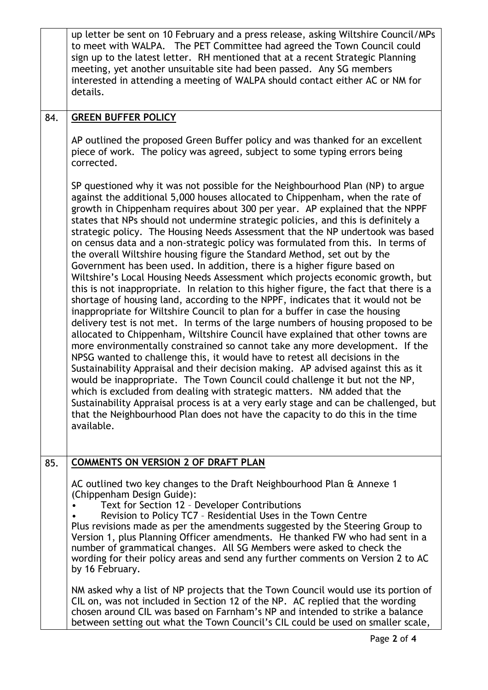|     | up letter be sent on 10 February and a press release, asking Wiltshire Council/MPs<br>to meet with WALPA. The PET Committee had agreed the Town Council could<br>sign up to the latest letter. RH mentioned that at a recent Strategic Planning<br>meeting, yet another unsuitable site had been passed. Any SG members<br>interested in attending a meeting of WALPA should contact either AC or NM for<br>details.                                                                                                                                                                                                                                                                                                                                                                                                                                                                                                                                                                                                                                                                                                                                                                                                                                                                                                                                                                                                                                                                                                                                                                                                                                                                                                                                                                          |
|-----|-----------------------------------------------------------------------------------------------------------------------------------------------------------------------------------------------------------------------------------------------------------------------------------------------------------------------------------------------------------------------------------------------------------------------------------------------------------------------------------------------------------------------------------------------------------------------------------------------------------------------------------------------------------------------------------------------------------------------------------------------------------------------------------------------------------------------------------------------------------------------------------------------------------------------------------------------------------------------------------------------------------------------------------------------------------------------------------------------------------------------------------------------------------------------------------------------------------------------------------------------------------------------------------------------------------------------------------------------------------------------------------------------------------------------------------------------------------------------------------------------------------------------------------------------------------------------------------------------------------------------------------------------------------------------------------------------------------------------------------------------------------------------------------------------|
| 84. | <b>GREEN BUFFER POLICY</b>                                                                                                                                                                                                                                                                                                                                                                                                                                                                                                                                                                                                                                                                                                                                                                                                                                                                                                                                                                                                                                                                                                                                                                                                                                                                                                                                                                                                                                                                                                                                                                                                                                                                                                                                                                    |
|     | AP outlined the proposed Green Buffer policy and was thanked for an excellent<br>piece of work. The policy was agreed, subject to some typing errors being<br>corrected.                                                                                                                                                                                                                                                                                                                                                                                                                                                                                                                                                                                                                                                                                                                                                                                                                                                                                                                                                                                                                                                                                                                                                                                                                                                                                                                                                                                                                                                                                                                                                                                                                      |
|     | SP questioned why it was not possible for the Neighbourhood Plan (NP) to argue<br>against the additional 5,000 houses allocated to Chippenham, when the rate of<br>growth in Chippenham requires about 300 per year. AP explained that the NPPF<br>states that NPs should not undermine strategic policies, and this is definitely a<br>strategic policy. The Housing Needs Assessment that the NP undertook was based<br>on census data and a non-strategic policy was formulated from this. In terms of<br>the overall Wiltshire housing figure the Standard Method, set out by the<br>Government has been used. In addition, there is a higher figure based on<br>Wiltshire's Local Housing Needs Assessment which projects economic growth, but<br>this is not inappropriate. In relation to this higher figure, the fact that there is a<br>shortage of housing land, according to the NPPF, indicates that it would not be<br>inappropriate for Wiltshire Council to plan for a buffer in case the housing<br>delivery test is not met. In terms of the large numbers of housing proposed to be<br>allocated to Chippenham, Wiltshire Council have explained that other towns are<br>more environmentally constrained so cannot take any more development. If the<br>NPSG wanted to challenge this, it would have to retest all decisions in the<br>Sustainability Appraisal and their decision making. AP advised against this as it<br>would be inappropriate. The Town Council could challenge it but not the NP,<br>which is excluded from dealing with strategic matters. NM added that the<br>Sustainability Appraisal process is at a very early stage and can be challenged, but<br>that the Neighbourhood Plan does not have the capacity to do this in the time<br>available. |
| 85. | <b>COMMENTS ON VERSION 2 OF DRAFT PLAN</b>                                                                                                                                                                                                                                                                                                                                                                                                                                                                                                                                                                                                                                                                                                                                                                                                                                                                                                                                                                                                                                                                                                                                                                                                                                                                                                                                                                                                                                                                                                                                                                                                                                                                                                                                                    |
|     | AC outlined two key changes to the Draft Neighbourhood Plan & Annexe 1<br>(Chippenham Design Guide):<br>Text for Section 12 - Developer Contributions<br>Revision to Policy TC7 - Residential Uses in the Town Centre<br>Plus revisions made as per the amendments suggested by the Steering Group to<br>Version 1, plus Planning Officer amendments. He thanked FW who had sent in a<br>number of grammatical changes. All SG Members were asked to check the<br>wording for their policy areas and send any further comments on Version 2 to AC<br>by 16 February.                                                                                                                                                                                                                                                                                                                                                                                                                                                                                                                                                                                                                                                                                                                                                                                                                                                                                                                                                                                                                                                                                                                                                                                                                          |
|     | NM asked why a list of NP projects that the Town Council would use its portion of<br>CIL on, was not included in Section 12 of the NP. AC replied that the wording<br>chosen around CIL was based on Farnham's NP and intended to strike a balance<br>between setting out what the Town Council's CIL could be used on smaller scale,                                                                                                                                                                                                                                                                                                                                                                                                                                                                                                                                                                                                                                                                                                                                                                                                                                                                                                                                                                                                                                                                                                                                                                                                                                                                                                                                                                                                                                                         |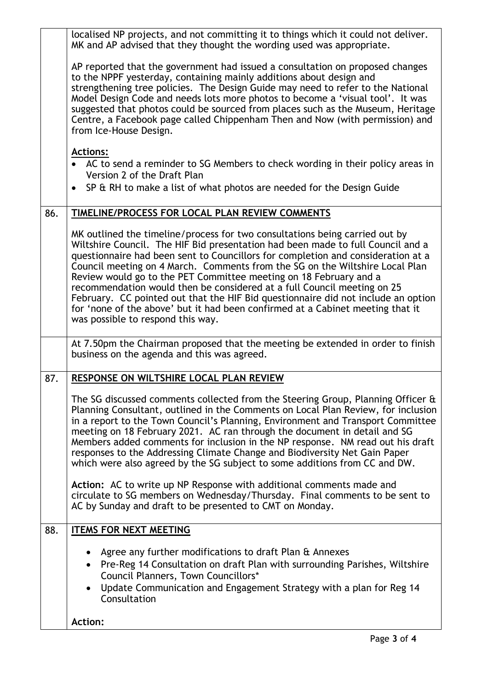|     | localised NP projects, and not committing it to things which it could not deliver.<br>MK and AP advised that they thought the wording used was appropriate.                                                                                                                                                                                                                                                                                                                                                                                                                                                                                                                                                                               |
|-----|-------------------------------------------------------------------------------------------------------------------------------------------------------------------------------------------------------------------------------------------------------------------------------------------------------------------------------------------------------------------------------------------------------------------------------------------------------------------------------------------------------------------------------------------------------------------------------------------------------------------------------------------------------------------------------------------------------------------------------------------|
|     | AP reported that the government had issued a consultation on proposed changes<br>to the NPPF yesterday, containing mainly additions about design and<br>strengthening tree policies. The Design Guide may need to refer to the National<br>Model Design Code and needs lots more photos to become a 'visual tool'. It was<br>suggested that photos could be sourced from places such as the Museum, Heritage<br>Centre, a Facebook page called Chippenham Then and Now (with permission) and<br>from Ice-House Design.                                                                                                                                                                                                                    |
|     | <b>Actions:</b><br>• AC to send a reminder to SG Members to check wording in their policy areas in                                                                                                                                                                                                                                                                                                                                                                                                                                                                                                                                                                                                                                        |
|     | Version 2 of the Draft Plan                                                                                                                                                                                                                                                                                                                                                                                                                                                                                                                                                                                                                                                                                                               |
|     | • SP & RH to make a list of what photos are needed for the Design Guide                                                                                                                                                                                                                                                                                                                                                                                                                                                                                                                                                                                                                                                                   |
| 86. | TIMELINE/PROCESS FOR LOCAL PLAN REVIEW COMMENTS                                                                                                                                                                                                                                                                                                                                                                                                                                                                                                                                                                                                                                                                                           |
|     | MK outlined the timeline/process for two consultations being carried out by<br>Wiltshire Council. The HIF Bid presentation had been made to full Council and a<br>questionnaire had been sent to Councillors for completion and consideration at a<br>Council meeting on 4 March. Comments from the SG on the Wiltshire Local Plan<br>Review would go to the PET Committee meeting on 18 February and a<br>recommendation would then be considered at a full Council meeting on 25<br>February. CC pointed out that the HIF Bid questionnaire did not include an option<br>for 'none of the above' but it had been confirmed at a Cabinet meeting that it<br>was possible to respond this way.                                            |
|     | At 7.50pm the Chairman proposed that the meeting be extended in order to finish<br>business on the agenda and this was agreed.                                                                                                                                                                                                                                                                                                                                                                                                                                                                                                                                                                                                            |
| 87. | RESPONSE ON WILTSHIRE LOCAL PLAN REVIEW                                                                                                                                                                                                                                                                                                                                                                                                                                                                                                                                                                                                                                                                                                   |
|     | The SG discussed comments collected from the Steering Group, Planning Officer &<br>Planning Consultant, outlined in the Comments on Local Plan Review, for inclusion<br>in a report to the Town Council's Planning, Environment and Transport Committee<br>meeting on 18 February 2021. AC ran through the document in detail and SG<br>Members added comments for inclusion in the NP response. NM read out his draft<br>responses to the Addressing Climate Change and Biodiversity Net Gain Paper<br>which were also agreed by the SG subject to some additions from CC and DW.<br>Action: AC to write up NP Response with additional comments made and<br>circulate to SG members on Wednesday/Thursday. Final comments to be sent to |
|     | AC by Sunday and draft to be presented to CMT on Monday.                                                                                                                                                                                                                                                                                                                                                                                                                                                                                                                                                                                                                                                                                  |
| 88. | <b>ITEMS FOR NEXT MEETING</b>                                                                                                                                                                                                                                                                                                                                                                                                                                                                                                                                                                                                                                                                                                             |
|     | Agree any further modifications to draft Plan & Annexes<br>Pre-Reg 14 Consultation on draft Plan with surrounding Parishes, Wiltshire<br>$\bullet$<br>Council Planners, Town Councillors*<br>Update Communication and Engagement Strategy with a plan for Reg 14<br>Consultation                                                                                                                                                                                                                                                                                                                                                                                                                                                          |
|     | <b>Action:</b>                                                                                                                                                                                                                                                                                                                                                                                                                                                                                                                                                                                                                                                                                                                            |